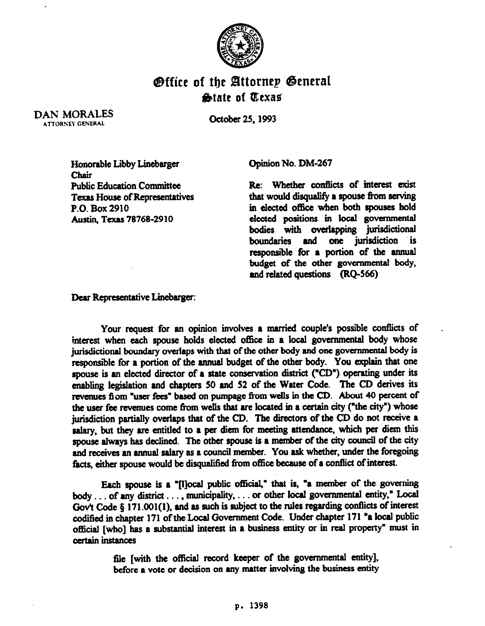

## **Office of the Attornep General &ate of Qtexa\$**

DAN MORALES ATTORSEY GENERAL

October 25.1993

Honorable Libby Linebarger Chair Public Education Committee Texas House of Representatives P.O. Box 2910 Austin, Texas 78768-2910

Opinion No. DM-267

Re: Whether conflicts of interest exist that would disqualify a spouse from serving in elected office when both spouses hold elected positions in local governmental bodies with overlapping jurisdictional boundaries and one jurisdiction is responsible for a portion of the annual budget of the other governmental body, and related questions  $(RO-566)$ 

Dear Representative Linebarger:

Your request for an opinion involves a married couple's possible conflicts of interest when each spouse holds elected office in a local governmental body whose jurisdictional boundary overlaps with that of the other body and one governmental body is responsible for a portion of the annual budget of the other body. You explain that one spouse is an elected director of a state conservation district ("CD") operating under its enabling legislation and chapters 50 and 52 of the Water Code. The CD derives its revenues fiom "user fees" based on pumpage from wells in the CD. About 40 percent of the user fee revenues come from wells that are located in a certain city ("the city") whose jurisdiction partially overlaps that of the CD. The directors of the CD do not receive a salary, but they are entitled to a per diem for meeting attendance. which per diem this spouse always has declined. The other spouse is a member of the city council of the city and receives an annual salary as a council member. You ask whether, under the foregoing facts, either spouse would be disqualified from office because of a conflict of interest.

Each spouse is a "[l]ocal public official," that is, "a member of the governing body . . . of any district . . . , municipality, . . . or other local governmental entity," Local Gov't Code § 171.001(1), and as such is subject to the rules regarding conflicts of interest codified in chapter 171 of the Local Government Code. Under chapter 171 "a local public official [who] has a substantial interest in a business entity or in real property" must in certain instances

> file [with the official record keeper of the governmental entity], before a vote or decision on any matter involving the business entity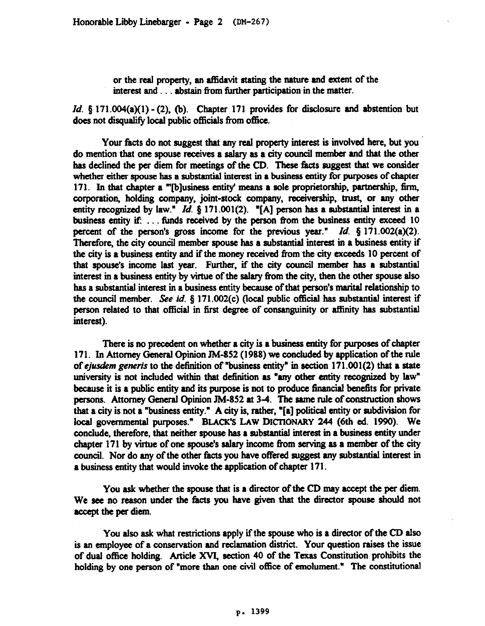or the real property, an affidavit stating the nature and extent of the interest and . . . abstain from further participation in the matter.

*Id.* § 171.004(a)(1) - (2), (b). Chapter 171 provides for disclosure and abstention but does not disqualify local public officials from office.

Your facts do not suggest that any real property interest is involved here, but you do mention that one spouse receives a salary as a city council member and that the other has declined the per diem for meetings of the CD. These facts suggest that we consider whether either spouse has a substantial interest in a business entity for purposes of chapter 171. In that chapter a "'[b]usiness entity' means a sole proprietorship, partnership, firm, corporation, holding company, joint-stock company, receivership, trust, or any other entity recognized by law." *Id.* § 171.001(2). "[A] person has a substantial interest in a business entity if: ... funds received by the person from the business entity exceed 10 percent of the person's gross income for the previous year." *Id. 5* 171.002(a)(2). Therefore, the city council member spouse has a substantial interest in a business entity if the city is a business entity and if the money received from the city exceeds 10 percent of that spouse's income last year. Further. if the city council member has a substsntial interest in a business entity by virtue of the salary from the city, then the other spouse also has a substantial interest in a business entity because of that person's marital relationship to the council member. See id.  $\S$  171.002(c) (local public official has substantial interest if person related to that official in first degree of consanguinity or affinity has substantial interest).

There is no precedent on whether a city is a business entity for purposes of chapter 171. In Attorney General Opinion JM-852 (1988) we concluded by application of the rule of ejusdem generis to the definition of "business entity" in section  $171.001(2)$  that a state university is not included within that definition as "any other entity recognized by law" because it is a public entity and its purpose is not to produce financial benefits for private persons. Attorney General Opinion JM-852 at 3-4. The same rule of construction shows that a city is not a "business entity." A city is, rather, "[a] political entity or subdivision for local governmental purposes." BLACK'S LAW DICTIONARY 244 (6th ed. 1990). We conclude, therefore, that neither spouse has a substamial interest in a business entity under chapter 171 by virtue of one spouse's salary income from serving as a member of the city council. Nor do any of the other facts you have offered suggest any substantial interest in a business entity that would invoke the application of chapter 171.

You ask whether the spouse that is a director of the CD may accept the per diem. We see no reason under the facts you have given that the director spouse should not accept the per diem.

You also ask what restrictions apply if the spouse who is a director of the CD also is an employee of a conservation and reclamation district. Your question raises the issue of dual office holding. Article XVI, section 40 of the Texas Constitution prohibits the holding by one person of "more than one civil office of emolument." The constitutional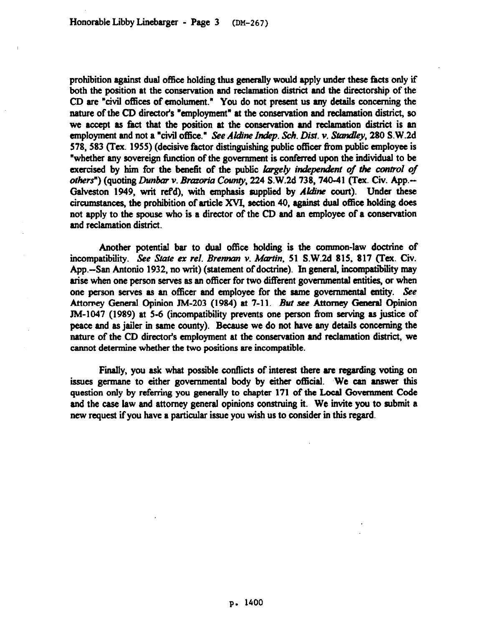prohibition against dual office holding thus generally would apply under these facts only if both the position at the conservation and reclamation district and the directorship of the CD are "civil offices of emolument." You do not present us any details concerning the nature of the CD directofs "employment" at the conservation and reclamation district, so we accept as fact that the position at the conservation and reclamation district is an employment and not a "civil office." See Aldine Indep. Sch. Dist. v. Standley, 280 S.W.2d 578,583 (Tex. 1955) (decisive factor distinguishing public officer from public employee is "whether any sovereign function of the government is conferred upon the individual to be exercised by him for the benefit of the public largely independent of the control of others") (quoting *Dunbar v. Brazoria County*, 224 S.W.2d 738, 740-41 (Tex. Civ. App.--Galveston 1949, writ ref'd), with emphasis supplied by *Aldine* court). Under these circumstances, the prohibition of article XVI, section 40, against dual office holding does not apply to the spouse who is a director of the CD and an employee of a conservation and reclamation district.

Another potential bar to dual office holding is the common-law doctrine of incompatibility. See State ex rel. Brennan v. Martin, 51 S.W.2d 815, 817 (Tex. Civ. App.-San Antonio 1932, no writ) (statement of doctrine). In general, incompatibility may arise when one person serves as an officer for two different governmental entities, or when one person serves as an officer and employee for the same governmental entity. See Attorney General Opinion JM-203 (1984) at 7-11. *But see* Attorney General Opinion JM-1047 (1989) at 5-6 (incompatibility prevents one person from serving as justice of peace and as jailer in same county). Because we do not have any details concerning the nature of the CD director's employment at the conservation and reclamation district, we cannot determine whether the two positions are incompatible.

Finally, you ask what possible conflicts of interest there are regarding voting on issues germane to either governmental body by either official. We can answer this question only by referring you generally to chapter 171 of the Local Government Code and the case law and attorney general opinions construing it. We invite you to submit a new request if you have a particular issue you wish us to consider in this regard.